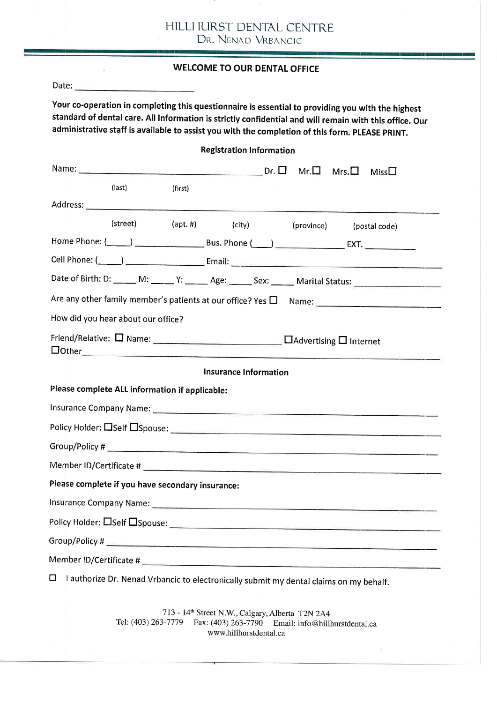| HILLHURST DENTAL CENTRE |
|-------------------------|
| DR. NENAD VRBANCIC      |

|                                                                                                                                                                                                                                                                                                                 | <b>WELCOME TO OUR DENTAL OFFICE</b>               |                                 |  |             |  |
|-----------------------------------------------------------------------------------------------------------------------------------------------------------------------------------------------------------------------------------------------------------------------------------------------------------------|---------------------------------------------------|---------------------------------|--|-------------|--|
|                                                                                                                                                                                                                                                                                                                 |                                                   |                                 |  |             |  |
| Your co-operation in completing this questionnaire is essential to providing you with the highest<br>standard of dental care. All information is strictly confidential and will remain with this office. Our<br>administrative staff is available to assist you with the completion of this form. PLEASE PRINT. |                                                   |                                 |  |             |  |
|                                                                                                                                                                                                                                                                                                                 |                                                   | <b>Registration Information</b> |  |             |  |
|                                                                                                                                                                                                                                                                                                                 |                                                   |                                 |  | Miss $\Box$ |  |
| (last)                                                                                                                                                                                                                                                                                                          | (first)                                           |                                 |  |             |  |
|                                                                                                                                                                                                                                                                                                                 |                                                   |                                 |  |             |  |
|                                                                                                                                                                                                                                                                                                                 | (street) (apt. #) (city) (province) (postal code) |                                 |  |             |  |
|                                                                                                                                                                                                                                                                                                                 |                                                   |                                 |  |             |  |
|                                                                                                                                                                                                                                                                                                                 |                                                   |                                 |  |             |  |
| Date of Birth: D: _____ M: _____ Y: ______ Age: ______ Sex: _____ Marital Status: ____________________________                                                                                                                                                                                                  |                                                   |                                 |  |             |  |
|                                                                                                                                                                                                                                                                                                                 |                                                   |                                 |  |             |  |
| How did you hear about our office?                                                                                                                                                                                                                                                                              |                                                   |                                 |  |             |  |
| $\Box$ Other $\Box$                                                                                                                                                                                                                                                                                             |                                                   |                                 |  |             |  |
|                                                                                                                                                                                                                                                                                                                 |                                                   | <b>Insurance Information</b>    |  |             |  |
| Please complete ALL information if applicable:                                                                                                                                                                                                                                                                  |                                                   |                                 |  |             |  |
|                                                                                                                                                                                                                                                                                                                 |                                                   |                                 |  |             |  |
| Policy Holder: CSelf CSpouse: Campbell Contract Contract Contract Contract Contract Contract Contract Contract Contract Contract Contract Contract Contract Contract Contract Contract Contract Contract Contract Contract Con                                                                                  |                                                   |                                 |  |             |  |
|                                                                                                                                                                                                                                                                                                                 |                                                   |                                 |  |             |  |
|                                                                                                                                                                                                                                                                                                                 |                                                   |                                 |  |             |  |
| Please complete if you have secondary insurance:                                                                                                                                                                                                                                                                |                                                   |                                 |  |             |  |
|                                                                                                                                                                                                                                                                                                                 |                                                   |                                 |  |             |  |
| Policy Holder: CSelf CSpouse: CONTENTS AND THE CONTENTS OF THE CONTENTS OF THE CONTENTS OF THE CONTENTS OF THE                                                                                                                                                                                                  |                                                   |                                 |  |             |  |
|                                                                                                                                                                                                                                                                                                                 |                                                   |                                 |  |             |  |
|                                                                                                                                                                                                                                                                                                                 |                                                   |                                 |  |             |  |
| $\Box$ I authorize Dr. Nenad Vrbancic to electronically submit my dental claims on my behalf.                                                                                                                                                                                                                   |                                                   |                                 |  |             |  |

713 - 14<sup>th</sup> Street N.W., Calgary, Alberta T2N 2A4 Tel: (403) 263-7779 Fax: (403) 263-7790 Email: info@hillhurstdental.c www.hillhurstdental.ca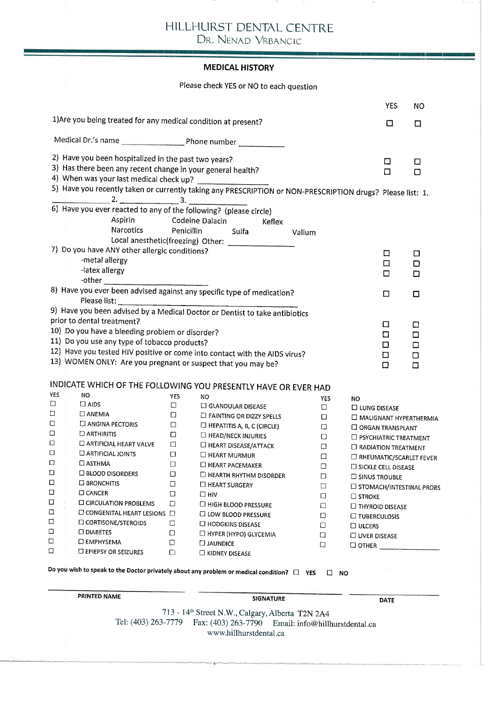# HILLHURST DENTAL CENTRE

DR. NENAD VRBANCIC

#### **MEDICAL HISTORY**

Please check yES or NO to each question

|                                                      |                                                                                                            |                      |                                                               |        |            |                              | <b>YES</b> | <b>NO</b>                  |
|------------------------------------------------------|------------------------------------------------------------------------------------------------------------|----------------------|---------------------------------------------------------------|--------|------------|------------------------------|------------|----------------------------|
|                                                      | 1) Are you being treated for any medical condition at present?                                             |                      |                                                               |        |            |                              | □          | □                          |
|                                                      |                                                                                                            |                      |                                                               |        |            |                              |            |                            |
|                                                      | 2) Have you been hospitalized in the past two years?                                                       |                      |                                                               |        |            |                              | □          | □                          |
|                                                      | 3) Has there been any recent change in your general health?<br>4) When was your last medical check up?     |                      |                                                               |        |            |                              | □          | О                          |
|                                                      | 5) Have you recently taken or currently taking any PRESCRIPTION or NON-PRESCRIPTION drugs? Please list: 1. |                      |                                                               |        |            |                              |            |                            |
|                                                      |                                                                                                            |                      |                                                               |        |            |                              |            |                            |
|                                                      | 6) Have you ever reacted to any of the following? (please circle)                                          |                      | Aspirin Codeine Dalacin<br>Keflex                             |        |            |                              |            |                            |
|                                                      | Narcotics                                                                                                  | Penicillin           | Sulfa                                                         | Valium |            |                              |            |                            |
|                                                      | 7) Do you have ANY other allergic conditions?                                                              |                      |                                                               |        |            |                              |            |                            |
|                                                      | -metal allergy                                                                                             |                      |                                                               |        |            |                              | □          | □                          |
|                                                      | -latex allergy                                                                                             |                      |                                                               |        |            |                              | $\Box$     | □                          |
|                                                      |                                                                                                            |                      |                                                               |        |            |                              | □          | □                          |
|                                                      | 8) Have you ever been advised against any specific type of medication?                                     |                      |                                                               |        |            |                              | □          | $\Box$                     |
|                                                      | Please list:                                                                                               |                      |                                                               |        |            |                              |            |                            |
|                                                      | 9) Have you been advised by a Medical Doctor or Dentist to take antibiotics                                |                      |                                                               |        |            |                              |            |                            |
|                                                      | prior to dental treatment?                                                                                 |                      |                                                               |        |            |                              | □          | □                          |
| 10) Do you have a bleeding problem or disorder?<br>□ |                                                                                                            |                      |                                                               |        | □          |                              |            |                            |
|                                                      | 11) Do you use any type of tobacco products?                                                               |                      |                                                               |        |            |                              | □          | $\Box$                     |
|                                                      | 12) Have you tested HIV positive or come into contact with the AIDS virus?                                 |                      |                                                               |        |            |                              | □          | □                          |
|                                                      | 13) WOMEN ONLY: Are you pregnant or suspect that you may be?                                               |                      |                                                               |        |            |                              | □          | □                          |
|                                                      |                                                                                                            |                      |                                                               |        |            |                              |            |                            |
| <b>YES</b>                                           | INDICATE WHICH OF THE FOLLOWING YOU PRESENTLY HAVE OR EVER HAD                                             |                      |                                                               |        |            |                              |            |                            |
| □                                                    | NO<br>$\square$ AIDS                                                                                       | <b>YES</b><br>$\Box$ | NO.                                                           |        | <b>YES</b> | NO.                          |            |                            |
| □                                                    | $\square$ ANEMIA                                                                                           | O                    | $\Box$ GLANDULAR DISEASE                                      |        | $\Box$     | <b>LI LUNG DISEASE</b>       |            |                            |
| О                                                    | $\Box$ ANGINA PECTORIS                                                                                     | $\Box$               | $\Box$ FAINTING OR DIZZY SPELLS<br>HEPATITIS A, B, C (CIRCLE) |        | ◻          |                              |            | MALIGNANT HYPERTHERMIA     |
| □                                                    | $\Box$ ARTHIRITIS                                                                                          | α                    | HEAD/NECK INJURIES                                            |        | □          | <b>ORGAN TRANSPLANT</b>      |            |                            |
| □                                                    | □ ARTIFICIAL HEART VALVE                                                                                   | $\Box$               | $\Box$ HEART DISEASE/ATTACK                                   |        | □          | $\Box$ PSYCHIATRIC TREATMENT |            |                            |
| □                                                    | <b>DARTIFICIAL JOINTS</b>                                                                                  | □                    | <b>HEART MURMUR</b>                                           |        | □          | <b>C RADIATION TREATMENT</b> |            |                            |
| □                                                    | $\Box$ ASTHMA                                                                                              | $\Box$               | $\Box$ HEART PACEMAKER                                        |        | □<br>□     |                              |            | □ RHEUMATIC/SCARLET FEVER  |
| О                                                    | $\square$ BLOOD DISORDERS                                                                                  | $\Box$               | $\Box$ HEARTH RHYTHM DISORDER                                 |        | □          | $\Box$ SICKLE CELL DISEASE   |            |                            |
| □                                                    | <b>E BRONCHITIS</b>                                                                                        | □                    | $\square$ HEART SURGERY                                       |        | □          | $\Box$ SINUS TROUBLE         |            |                            |
| □                                                    | $\square$ CANCER                                                                                           | Ο                    | $\Box$ HIV                                                    |        | □          | $\Box$ stroke                |            | □ STOMACH/INTESTINAL PROBS |
| □                                                    | <b>LI CIRCULATION PROBLEMS</b>                                                                             | □                    | $\Box$ HIGH BLOOD PRESSURE                                    |        | □          | $\Box$ THYROID DISEASE       |            |                            |
| □                                                    | $\square$ CONGENITAL HEART LESIONS $\square$                                                               |                      | □ LOW BLOOD PRESSURE                                          |        | □          | $\Box$ TUBERCULOSIS          |            |                            |
| □                                                    | <b>CORTISONE/STEROIDS</b>                                                                                  | $\Box$               | $\Box$ HODGKINS DISEASE                                       |        | □          | $\Box$ ULCERS                |            |                            |
| □                                                    | $\square$ DIABETES                                                                                         | $\Box$               | HYPER (HYPO) GLYCEMIA                                         |        | $\Box$     | $\Box$ LIVER DISEASE         |            |                            |
| □                                                    | <b>LI EMPHYSEMA</b>                                                                                        | $\Box$               | <b>LIAUNDICE</b>                                              |        | $\Box$     | $\Box$ OTHER                 |            |                            |
| □                                                    | $\Box$ EPIEPSY OR SEIZURES                                                                                 | □                    | $\Box$ KIDNEY DISEASE                                         |        |            |                              |            |                            |
|                                                      | Do you wish to speak to the Doctor privately about any problem or medical condition? $\Box$ YES            |                      |                                                               |        | □          | <b>NO</b>                    |            |                            |
|                                                      |                                                                                                            |                      |                                                               |        |            |                              |            |                            |

PRINTED NAME SIGNATURE

DATE

713 - 14<sup>th</sup> Street N.W., Calgary, Alberta T2N 2A4 Tel: (403) 263-7779 Fax: (403) 263-7790 Email: info@hillhurstdental.ca www.hillhurstdental.ca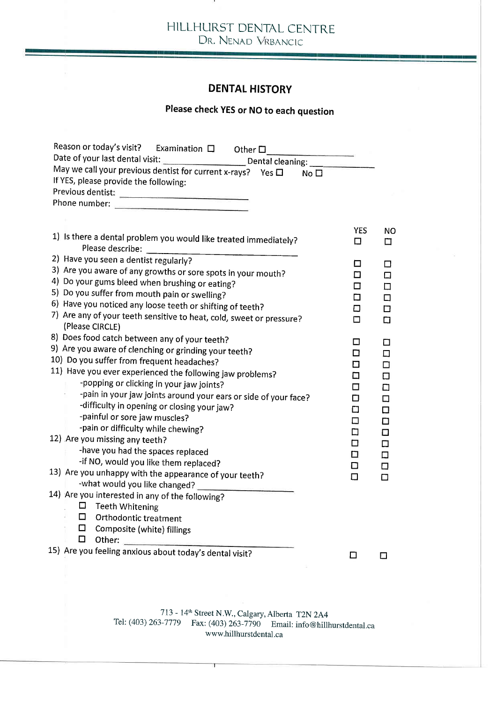HILLHURST DENTAL CENTRE DR. NENAD VRBANCIC

### DENTAL HISTORY

### Please check YES or NO to each question

| Reason or today's visit? Examination $\Box$ Other $\Box$                             |            |        |
|--------------------------------------------------------------------------------------|------------|--------|
|                                                                                      |            |        |
| May we call your previous dentist for current x-rays? Yes $\Box$<br>No <sub>1</sub>  |            |        |
| If YES, please provide the following:                                                |            |        |
|                                                                                      |            |        |
|                                                                                      |            |        |
|                                                                                      |            |        |
|                                                                                      | <b>YES</b> | NO.    |
| 1) Is there a dental problem you would like treated immediately?<br>Please describe: | □          | ◻      |
| 2) Have you seen a dentist regularly?                                                | П          | п      |
| 3) Are you aware of any growths or sore spots in your mouth?                         | ◻          | □      |
| 4) Do your gums bleed when brushing or eating?                                       | п          | п      |
| 5) Do you suffer from mouth pain or swelling?                                        | □          | □      |
| 6) Have you noticed any loose teeth or shifting of teeth?                            | Ω          | ◻      |
| 7) Are any of your teeth sensitive to heat, cold, sweet or pressure?                 | □          | □      |
| (Please CIRCLE)                                                                      |            |        |
| 8) Does food catch between any of your teeth?                                        | □          | П      |
| 9) Are you aware of clenching or grinding your teeth?                                | □          | п      |
| 10) Do you suffer from frequent headaches?                                           | □          | □      |
| 11) Have you ever experienced the following jaw problems?                            | □          | □      |
| -popping or clicking in your jaw joints?                                             | □          | □      |
| -pain in your jaw joints around your ears or side of your face?                      | ◻          | □      |
| -difficulty in opening or closing your jaw?                                          | О          | □      |
| -painful or sore jaw muscles?                                                        | $\Box$     | □      |
| -pain or difficulty while chewing?                                                   | □          | $\Box$ |
| 12) Are you missing any teeth?                                                       | $\Box$     | □      |
| -have you had the spaces replaced                                                    | ◻          | □      |
| -if NO, would you like them replaced?                                                | □          | □      |
| 13) Are you unhappy with the appearance of your teeth?                               | $\Box$     | п      |
| -what would you like changed?                                                        |            |        |
| 14) Are you interested in any of the following?                                      |            |        |
| 口<br>Teeth Whitening                                                                 |            |        |
| □<br><b>Orthodontic treatment</b>                                                    |            |        |
| $\Box$ Composite (white) fillings                                                    |            |        |
| ◻<br>Other:                                                                          |            |        |
| 15) Are you feeling anxious about today's dental visit?                              | □          | □      |
|                                                                                      |            |        |

l13 - l4th Street N.W., Calgary, Alberta T2N 2A4 Tel: (403) 263-7779 Fax: (403) 263-7790 Email: info@hillhurstdental.c. www.hillhurstdental.ca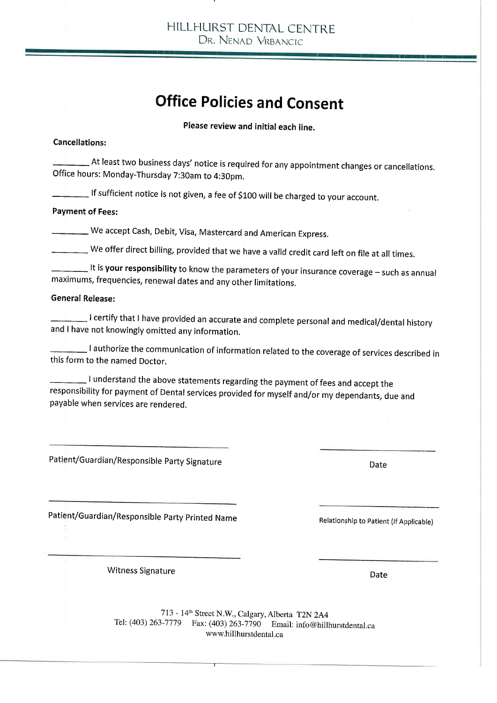HILLHURST DENTAL CENTRE DR. NENAD VRBANCIC

## Office Policies and Consent

Please review and initial each line.

### Cancellations:

 $\_\!\_$  At least two business days' notice is required for any appointment changes or cancellations. Office hours: Monday-Thursday 7:30am to 4:30pm.

lf sufficient notice is not given, a fee of Sloo will be charged to your account,

### Payment of Fees:

 we accept cash, Debit, Visa, Mastercard and American Express.

We offer direct billing, provided that we have a valid credit card left on file at all times.

-  $\_$  It is your responsibility to know the parameters of your insurance coverage – such as annual maximums, frequencies, renewal dates and any other limitations.

### General Release:

 $\_$  I certify that I have provided an accurate and complete personal and medical/dental history and I have not knowingly omitted any information.

<sup>I</sup>authorize the cornmunication of information related to the coverage of services described in this form to the named Doctor.

I understand the above statements regarding the payment of fees and accept the responsibility for payment of Dental services provided for myself and/or my dependants, due and payable when services are rendered.

Patient/Guardian/Responsible Party Signature

Patient/Guardian/Responsible party printed Name

Relationship to Patient (If Applicable)

Date

Witness Signature

Date

<sup>773</sup>- 14th Street N.W., Calgary,Alberta T2N 2A4 Tel: (403) 263-7179 Fax: (403) 263-1j90 Email: info@hillhurstdental.ca www.hillhurstdental.ca